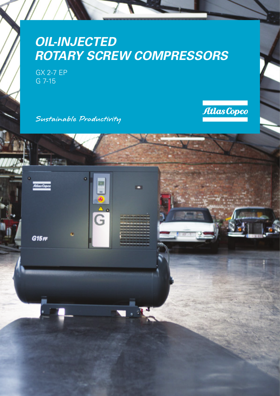# *OIL-INJECTED ROTARY SCREW COMPRESSORS*

GX 2-7 EP G 7-15

Atlas Copco

 $G15F$ 

Sustainable Productivity



G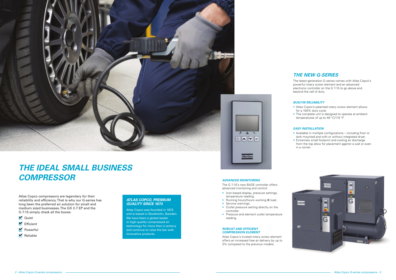

# *THE IDEAL SMALL BUSINESS COMPRESSOR*

## *THE NEW G-SERIES*

The latest-generation G-series comes with Atlas Copco's powerful rotary screw element and an advanced electronic controller on the G 7-15 to go above and beyond the call of duty.

### *BUILT-IN RELIABILITY*

• Atlas Copco's patented rotary screw element allows for a 100% duty cycle.

• The complete unit is designed to operate at ambient temperatures of up to 46 °C/115 °F.

### *EASY INSTALLATION*

• Available in multiple configurations – including floor or tank mounted and with or without integrated dryer. • Extremely small footprint and cooling air discharge from the top allow for placement against a wall or even in a corner.



Atlas Copco compressors are legendary for their reliability and efficiency. That is why our G-series has long been the preferred air solution for small and medium sized businesses. The GX 2-7 EP and the G 7-15 simply check all the boxes:

- **V** Quiet
- $\blacksquare$  Efficient
- **M** Powerful
- $\blacksquare$  Reliable

### *ADVANCED MONITORING*

The G 7-15's new BASE controller offers advanced monitoring and control:

- Icon-based display, pressure settings, temperature reading.
- Running hours/hours working @ load.
- Service warnings.
- Outlet pressure setting directly on the controller.
- Pressure and element outlet temperature reading.

### *ROBUST AND EFFICIENT COMPRESSION ELEMENT*

Atlas Copco's trusted rotary screw element offers an increased free air delivery by up to 3% compared to the previous models.

### *ATLAS COPCO, PREMIUM QUALITY SINCE 1873*

Atlas Copco was founded in 1873 and is based in Stockholm, Sweden. We have been a global leader in high-quality compressed air technology for more than a century and continue to raise the bar with innovative products.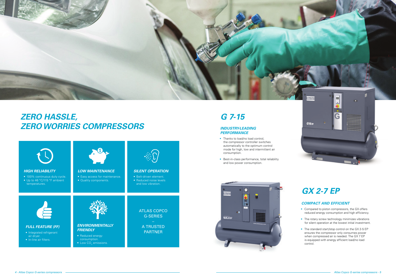

# *GX 2-7 EP*

## *COMPACT AND EFFICIENT*

- Compared to piston compressors, the GX offers reduced energy consumption and high efficiency.
- The rotary screw technology minimizes vibrations for silent operation at the lowest initial investment.
- The standard start/stop control on the GX 2-5 EP ensures the compressor only consumes power when compressed air is needed. The GX 7 EP is equipped with energy efficient load/no load control.



- 
- 

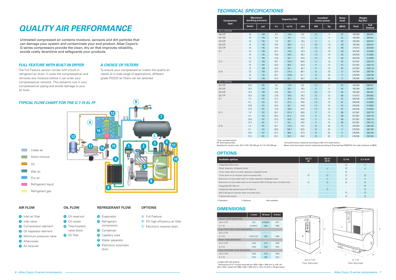## *FULL FEATURE WITH BUILT-IN DRYER*

The Full Feature version comes with a built-in refrigerant air dryer. It cools the compressed air and removes any moisture before it can enter your compressed air network. This prevents rust in your compressed air piping and avoids damage to your air tools.

### *A CHOICE OF FILTERS*

To ensure your compressed air meets the quality air needs of a wide range of applications, different grade PD/DD air filters can be selected.

# *QUALITY AIR PERFORMANCE*

**B** PD high efficiency air filter **<sup>C</sup>** Electronic receiver drain

Untreated compressed air contains moisture, aerosols and dirt particles that can damage your system and contaminate your end product. Atlas Copco's G-series compressors provide the clean, dry air that improves reliability, avoids costly downtime and safeguards your products.

### *TYPICAL FLOW CHART FOR THE G 7-15 EL FF*

**B**

### **AIR FLOW**

**<sup>2</sup>** Inlet valve

**7** Air receiver

## **OIL FLOW**

 Inlet air filter Compression element Oil separator element Minimum pressure valve Aftercooler Oil reservoir Oil cooler Thermostatic valve block Oil filter

**OPTIONS**

**<sup>A</sup>** Full Feature

### **REFRIGERANT FLOW**

- **<sup>12</sup>** Evaporator
- **<sup>13</sup>** Refrigerant compressor
- **<sup>14</sup>** Condenser
- **15** Capillary tube
- **<sup>16</sup>** Water separator
- **17** Electronic automatic
- drain

## *TECHNICAL SPECIFICATIONS*

\* Length with inlet grating. \*\* Dimensions of G 7-15 tank mounted are 1935 x 590 x 1463 mm (L x W x H) with a 500 l vessel and 1880 x 590 x 1463 mm (L x W x H) with a 120 gal vessel.

| <b>Compressor</b><br>type |        | <b>Maximum</b><br>working pressure | <b>Capacity FAD</b> |         |      | <b>Installed</b><br>motor power |                | Weight<br><b>Noise</b><br>(kg/lbs)*<br>level |         |                        |
|---------------------------|--------|------------------------------------|---------------------|---------|------|---------------------------------|----------------|----------------------------------------------|---------|------------------------|
|                           | bar(e) | psi                                | 1/s                 | $m^3/h$ | cfm  | kW                              | hp             | dB(A)                                        | Pack    | Full<br><b>Feature</b> |
| 50 Hz VERSION             |        |                                    |                     |         |      |                                 |                |                                              |         |                        |
| GX 2 EP                   | 10     | 145                                | 4.0                 | 14.4    | 8.5  | 2.2                             | 3              | 61                                           | 165/364 | 200/441                |
| GX 3 EP                   | 10     | 145                                | 5.3                 | 19.1    | 11.2 | 3                               | $\overline{4}$ | 61                                           | 165/364 | 200/441                |
| GX 4 EP                   | 10     | 145                                | 7.8                 | 28.1    | 16.5 | $\overline{4}$                  | 5              | 62                                           | 165/364 | 200/441                |
| GX 5 EP                   | 10     | 145                                | 10.0                | 36.0    | 21.2 | 5.5                             | 7.5            | 64                                           | 165/364 | 200/441                |
| GX 7 EP                   | 10     | 145                                | 14.0                | 50.4    | 29.7 | 7.5                             | 10             | 66                                           | 214/472 | 264/582                |
| G <sub>7</sub>            | 7.5    | 109                                | 20.7                | 74.6    | 43.9 | 7.5                             | 10             | 65                                           | 245/540 | 314/692                |
|                           | 10     | 145                                | 18.0                | 64.9    | 38.2 | 7.5                             | 10             | 65                                           | 245/540 | 314/692                |
|                           | 13     | 189                                | 13.9                | 50.1    | 29.5 | 7.5                             | 10             | 65                                           | 245/540 | 314/692                |
| G 11                      | 7.5    | 109                                | 28.7                | 103.3   | 60.8 | 11                              | 15             | 67                                           | 257/567 | 326/719                |
|                           | 10     | 145                                | 24.0                | 86.5    | 50.9 | 11                              | 15             | 67                                           | 257/567 | 326/719                |
|                           | 13     | 189                                | 19.2                | 69.1    | 40.7 | 11                              | 15             | 67                                           | 257/567 | 326/719                |
| G 15                      | 7.5    | 109                                | 32.4                | 116.7   | 68.7 | 15                              | 20             | 71                                           | 276/594 | 338/746                |
|                           | 10     | 145                                | 29.1                | 104.8   | 61.7 | 15                              | 20             | 71                                           | 276/594 | 338/746                |
|                           | 13     | 189                                | 22.8                | 82.1    | 48.3 | 15                              | 20             | 71                                           | 276/594 | 338/746                |
| 60 Hz VERSION             |        |                                    |                     |         |      |                                 |                |                                              |         |                        |
| GX 2 EP                   | 10.3   | 150                                | 4.0                 | 14.4    | 8.5  | 2.2                             | 3              | 61                                           | 165/364 | 200/441                |
| GX 4 EP                   | 10.3   | 150                                | 7.8                 | 28.1    | 16.5 | $\overline{4}$                  | 5              | 62                                           | 165/364 | 200/441                |
| GX 5 EP                   | 10.3   | 150                                | 10.0                | 36.0    | 21.2 | 5.5                             | 7.5            | 64                                           | 165/364 | 200/441                |
| GX 7 EP                   | 10.3   | 150                                | 13.8                | 49.6    | 29.2 | 7.5                             | 10             | 66                                           | 214/472 | 264/582                |
| G7                        | 7.4    | 107                                | 21.2                | 76.3    | 44.9 | 7.5                             | 10             | 67                                           | 245/540 | 314/692                |
|                           | 9.1    | 132                                | 18.7                | 67.3    | 39.6 | 7.5                             | 10             | 67                                           | 245/540 | 314/692                |
|                           | 10.8   | 157                                | 16.4                | 59.1    | 34.8 | 7.5                             | 10             | 67                                           | 245/540 | 314/692                |
|                           | 12.5   | 181                                | 13.8                | 49.8    | 29.3 | 7.5                             | 10             | 67                                           | 245/540 | 314/692                |
| G 11                      | 7.4    | 107                                | 28.1                | 101.3   | 59.6 | 11                              | 15             | 68                                           | 257/567 | 326/719                |
|                           | 9.1    | 132                                | 25.4                | 91.4    | 53.8 | 11                              | 15             | 68                                           | 257/567 | 326/719                |
|                           | 10.8   | 157                                | 23.0                | 82.9    | 48.8 | 11                              | 15             | 68                                           | 257/567 | 326/719                |
|                           | 12.5   | 181                                | 11.7                | 42.1    | 24.8 | 11                              | 15             | 68                                           | 257/567 | 326/719                |
| G 15                      | 7.4    | 107                                | 33.1                | 119.3   | 70.2 | 15                              | 20             | 71                                           | 276/594 | 338/746                |
|                           | 9.1    | 132                                | 29.6                | 106.7   | 62.8 | 15                              | 20             | 71                                           | 276/594 | 338/746                |
|                           | 10.8   | 157                                | 27.3                | 98.4    | 57.9 | 15                              | 20             | 71                                           | 276/594 | 338/746                |
|                           | 12.5   | 181                                | 23.1                | 83.3    | 49.0 | 15                              | 20             | 71                                           | 276/594 | 338/746                |



### \* Tank mounted variant. EP: Electropneumatic.

Standard air receiver size, GX 2-7 EP: 200 l/60 gal, G 7-15: 270 l/80 gal.

| GX 2-7<br>EP             | GX 2-7<br>EP FF          | G 7-15   | G 7-15 FF                |
|--------------------------|--------------------------|----------|--------------------------|
| ٠                        |                          | $\Omega$ |                          |
| $\overline{\phantom{a}}$ |                          | $\Omega$ |                          |
| $\overline{\phantom{a}}$ |                          | $\Omega$ | $\overline{\phantom{a}}$ |
| $\Omega$                 | ∩                        | $\Omega$ | $\cap$                   |
| $\overline{\phantom{a}}$ | ✓                        | $\Omega$ | $\sqrt{2}$               |
| $\bigcap$                | ∩                        | $\Omega$ | ∩                        |
| ٠                        |                          | ٠        | ∩                        |
|                          | ∩                        |          | $\cap$                   |
| $\overline{\phantom{a}}$ |                          | $\Omega$ | $\cap$                   |
| $\overline{\phantom{a}}$ | $\overline{\phantom{a}}$ | ∩        |                          |

## **OPTIONS**

| <b>Available options</b>                                                         | GX 2-7<br>EP | GX 2-7<br>EP FF | G 7-15 | G 7-1 |
|----------------------------------------------------------------------------------|--------------|-----------------|--------|-------|
| Integrated aftercooler                                                           |              |                 |        |       |
| Water separator (shipped loose)                                                  |              |                 |        |       |
| Timer water drain on water separator (shipped loose)                             |              |                 |        |       |
| Timer drain on air receiver (tank mounted only)                                  | Ω            | Ω               |        | ∩     |
| Electronic no loss water drain on water separator (shipped loose)                |              |                 |        |       |
| Electronic no loss water drain on air receiver (500 l/120 gal tank mounted only) | O            |                 |        | ∩     |
| Integrated DD filter kit                                                         |              |                 |        | ∩     |
| Integrated high performance PD filter kit                                        |              | Ω               |        | ∩     |
| 500 l/120 gal air receiver (tank mounted only)                                   |              |                 |        | ∩     |
| Tropical thermostat                                                              |              |                 |        | Ο     |
| - Not available<br>√ Standard<br>O Optional                                      |              |                 |        |       |

|                                   | $L$ (mm)   | $W$ (mm) | $H$ (mm) |  |  |
|-----------------------------------|------------|----------|----------|--|--|
| PACK FLOOR MOUNTED                |            |          |          |  |  |
| GX 2-7 FP                         | 620        | 575/605  | 975      |  |  |
| G 7-15                            | 810/840*   | 590      |          |  |  |
| <b>FULL FEATURE FLOOR MOUNTED</b> |            |          |          |  |  |
| GX 2-7 FP                         | ۰          |          |          |  |  |
| $G$ 7-15                          | 1205/1235* | 590      | 1085     |  |  |
| <b>PACK TANK MOUNTED</b>          |            |          |          |  |  |
| GX 2-7 FP                         | 1420       | 575      | 1280     |  |  |
| $G$ 7-15                          | 1533       | 590      |          |  |  |
| <b>FULL FEATURE TANK MOUNTED</b>  |            |          |          |  |  |
| GX 2-7 FP                         | 1420       | 575      | 1280     |  |  |
| G 7-15                            | 1533       | 590      | 1332     |  |  |
|                                   |            |          |          |  |  |

### **DIMENSIONS**



*GX 2-7 EP Floor Mounted*



*Tank Mounted*

Unit performance measured according to ISO 1217, latest edition.

Mean noise level (pack variant) measured according to Pneurop/Cagi PN8NTC2 test code; tolerance 3 dB(A).